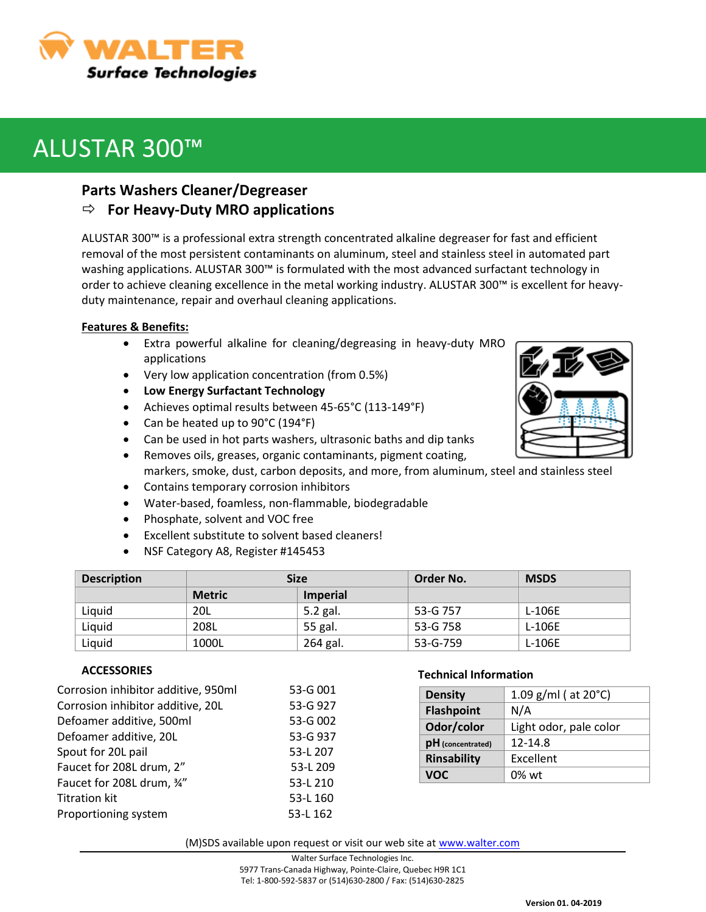

# ALUSTAR 300™

## **Parts Washers Cleaner/Degreaser**

## **For Heavy-Duty MRO applications**

ALUSTAR 300™ is a professional extra strength concentrated alkaline degreaser for fast and efficient removal of the most persistent contaminants on aluminum, steel and stainless steel in automated part washing applications. ALUSTAR 300™ is formulated with the most advanced surfactant technology in order to achieve cleaning excellence in the metal working industry. ALUSTAR 300™ is excellent for heavyduty maintenance, repair and overhaul cleaning applications.

### **Features & Benefits:**

- Extra powerful alkaline for cleaning/degreasing in heavy-duty MRO applications
- Very low application concentration (from 0.5%)
- **Low Energy Surfactant Technology**
- Achieves optimal results between 45-65°C (113-149°F)
- Can be heated up to 90°C (194°F)
- Can be used in hot parts washers, ultrasonic baths and dip tanks
- Removes oils, greases, organic contaminants, pigment coating, markers, smoke, dust, carbon deposits, and more, from aluminum, steel and stainless steel
- Contains temporary corrosion inhibitors
- Water-based, foamless, non-flammable, biodegradable
- Phosphate, solvent and VOC free
- Excellent substitute to solvent based cleaners!
- NSF Category A8, Register #145453

| <b>Description</b> | <b>Size</b>   |                 | Order No. | <b>MSDS</b> |
|--------------------|---------------|-----------------|-----------|-------------|
|                    | <b>Metric</b> | <b>Imperial</b> |           |             |
| Liquid             | 20L           | 5.2 gal.        | 53-G 757  | L-106E      |
| Liquid             | 208L          | 55 gal.         | 53-G 758  | L-106E      |
| Liquid             | 1000L         | 264 gal.        | 53-G-759  | L-106E      |

### **ACCESSORIES**

| Corrosion inhibitor additive, 950ml | 53-G 001 |
|-------------------------------------|----------|
| Corrosion inhibitor additive, 20L   | 53-G 927 |
| Defoamer additive, 500ml            | 53-G 002 |
| Defoamer additive, 20L              | 53-G 937 |
| Spout for 20L pail                  | 53-L 207 |
| Faucet for 208L drum, 2"            | 53-L 209 |
| Faucet for 208L drum, 34"           | 53-L 210 |
| <b>Titration kit</b>                | 53-L 160 |
| Proportioning system                | 53-L 162 |
|                                     |          |

### **Technical Information**

| <b>Density</b>     | 1.09 g/ml ( $at 20^{\circ}$ C) |  |
|--------------------|--------------------------------|--|
| <b>Flashpoint</b>  | N/A                            |  |
| Odor/color         | Light odor, pale color         |  |
| pH (concentrated)  | 12-14.8                        |  |
| <b>Rinsability</b> | Excellent                      |  |
| VOC                | $0\%$ wt                       |  |

(M)SDS available upon request or visit our web site at [www.walter.com](http://www.walter.com/)

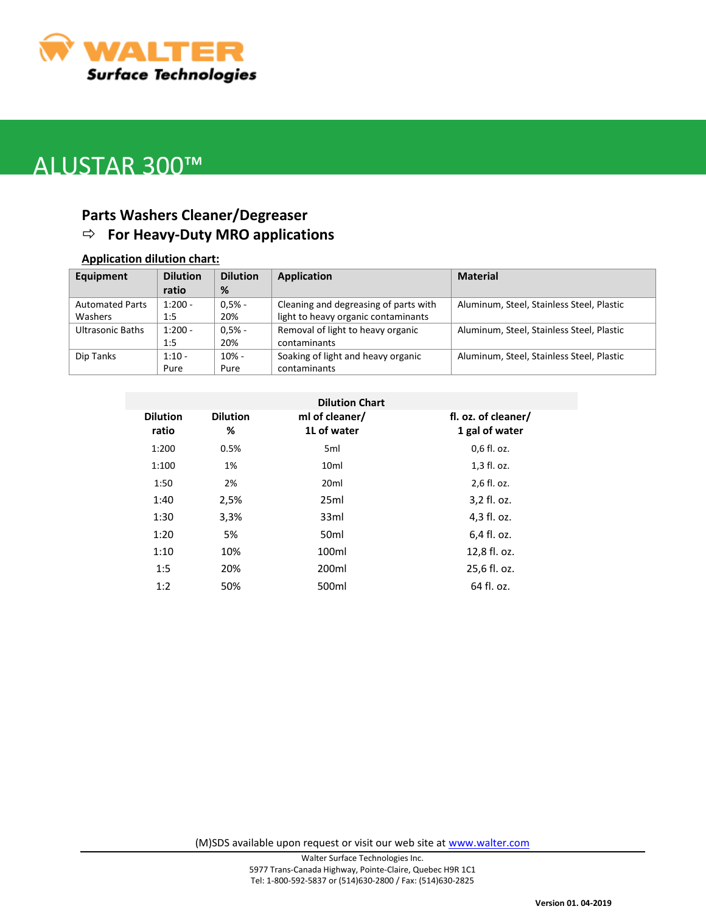

## ALUSTAR 300™

## **Parts Washers Cleaner/Degreaser For Heavy-Duty MRO applications**

#### **Application dilution chart:**

| Equipment              | <b>Dilution</b> | <b>Dilution</b> | <b>Application</b>                    | <b>Material</b>                           |
|------------------------|-----------------|-----------------|---------------------------------------|-------------------------------------------|
|                        | ratio           | %               |                                       |                                           |
| <b>Automated Parts</b> | $1:200 -$       | $0.5% -$        | Cleaning and degreasing of parts with | Aluminum, Steel, Stainless Steel, Plastic |
| <b>Washers</b>         | 1:5             | 20%             | light to heavy organic contaminants   |                                           |
| Ultrasonic Baths       | $1:200 -$       | $0.5% -$        | Removal of light to heavy organic     | Aluminum, Steel, Stainless Steel, Plastic |
|                        | 1:5             | 20%             | contaminants                          |                                           |
| Dip Tanks              | $1:10 -$        | $10% -$         | Soaking of light and heavy organic    | Aluminum, Steel, Stainless Steel, Plastic |
|                        | Pure            | Pure            | contaminants                          |                                           |

| <b>Dilution</b><br>ratio | <b>Dilution</b><br>% | ml of cleaner/<br>1L of water | fl. oz. of cleaner/<br>1 gal of water |
|--------------------------|----------------------|-------------------------------|---------------------------------------|
| 1:200                    | 0.5%                 | 5 <sub>ml</sub>               | 0,6 fl. oz.                           |
| 1:100                    | 1%                   | 10 <sub>ml</sub>              | 1,3 fl. oz.                           |
| 1:50                     | 2%                   | 20 <sub>ml</sub>              | 2,6 fl. oz.                           |
| 1:40                     | 2,5%                 | 25ml                          | 3,2 fl. oz.                           |
| 1:30                     | 3,3%                 | 33ml                          | 4,3 fl. oz.                           |
| 1:20                     | 5%                   | 50 <sub>ml</sub>              | 6,4 fl. oz.                           |
| 1:10                     | 10%                  | 100ml                         | 12,8 fl. oz.                          |
| 1:5                      | 20%                  | 200ml                         | 25,6 fl. oz.                          |
| 1:2                      | 50%                  | 500ml                         | 64 fl. oz.                            |

(M)SDS available upon request or visit our web site at [www.walter.com](http://www.walter.com/)